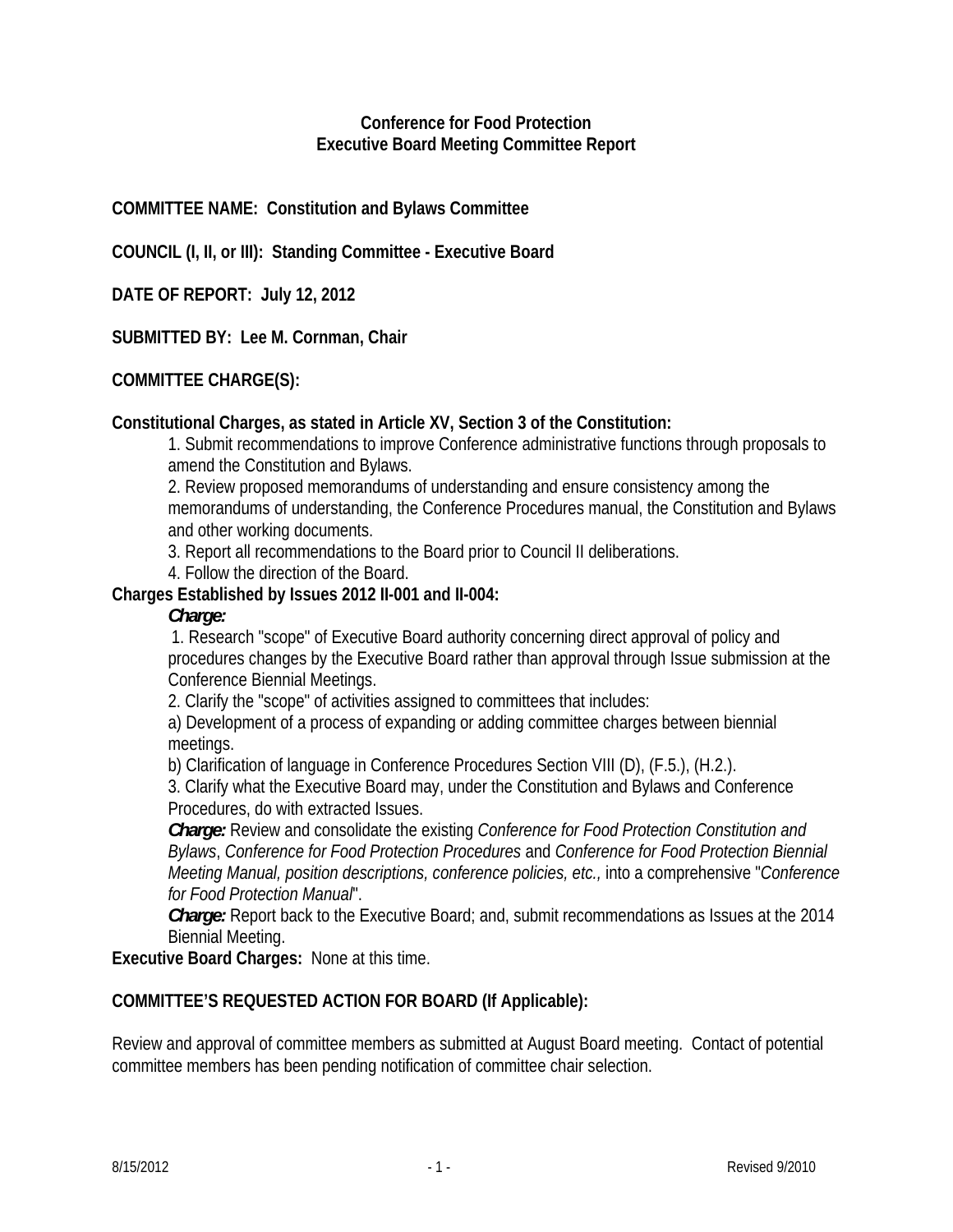### **Conference for Food Protection Executive Board Meeting Committee Report**

## **COMMITTEE NAME: Constitution and Bylaws Committee**

**COUNCIL (I, II, or III): Standing Committee - Executive Board** 

**DATE OF REPORT: July 12, 2012** 

**SUBMITTED BY: Lee M. Cornman, Chair** 

## **COMMITTEE CHARGE(S):**

### **Constitutional Charges, as stated in Article XV, Section 3 of the Constitution:**

1. Submit recommendations to improve Conference administrative functions through proposals to amend the Constitution and Bylaws.

2. Review proposed memorandums of understanding and ensure consistency among the memorandums of understanding, the Conference Procedures manual, the Constitution and Bylaws and other working documents.

3. Report all recommendations to the Board prior to Council II deliberations.

4. Follow the direction of the Board.

### **Charges Established by Issues 2012 II-001 and II-004:**

#### *Charge:*

1. Research "scope" of Executive Board authority concerning direct approval of policy and procedures changes by the Executive Board rather than approval through Issue submission at the Conference Biennial Meetings.

2. Clarify the "scope" of activities assigned to committees that includes:

a) Development of a process of expanding or adding committee charges between biennial meetings.

b) Clarification of language in Conference Procedures Section VIII (D), (F.5.), (H.2.).

3. Clarify what the Executive Board may, under the Constitution and Bylaws and Conference Procedures, do with extracted Issues.

*Charge:* Review and consolidate the existing *Conference for Food Protection Constitution and Bylaws*, *Conference for Food Protection Procedures* and *Conference for Food Protection Biennial Meeting Manual, position descriptions, conference policies, etc.,* into a comprehensive "*Conference for Food Protection Manual*".

*Charge:* Report back to the Executive Board; and, submit recommendations as Issues at the 2014 Biennial Meeting.

**Executive Board Charges:** None at this time.

## **COMMITTEE'S REQUESTED ACTION FOR BOARD (If Applicable):**

Review and approval of committee members as submitted at August Board meeting. Contact of potential committee members has been pending notification of committee chair selection.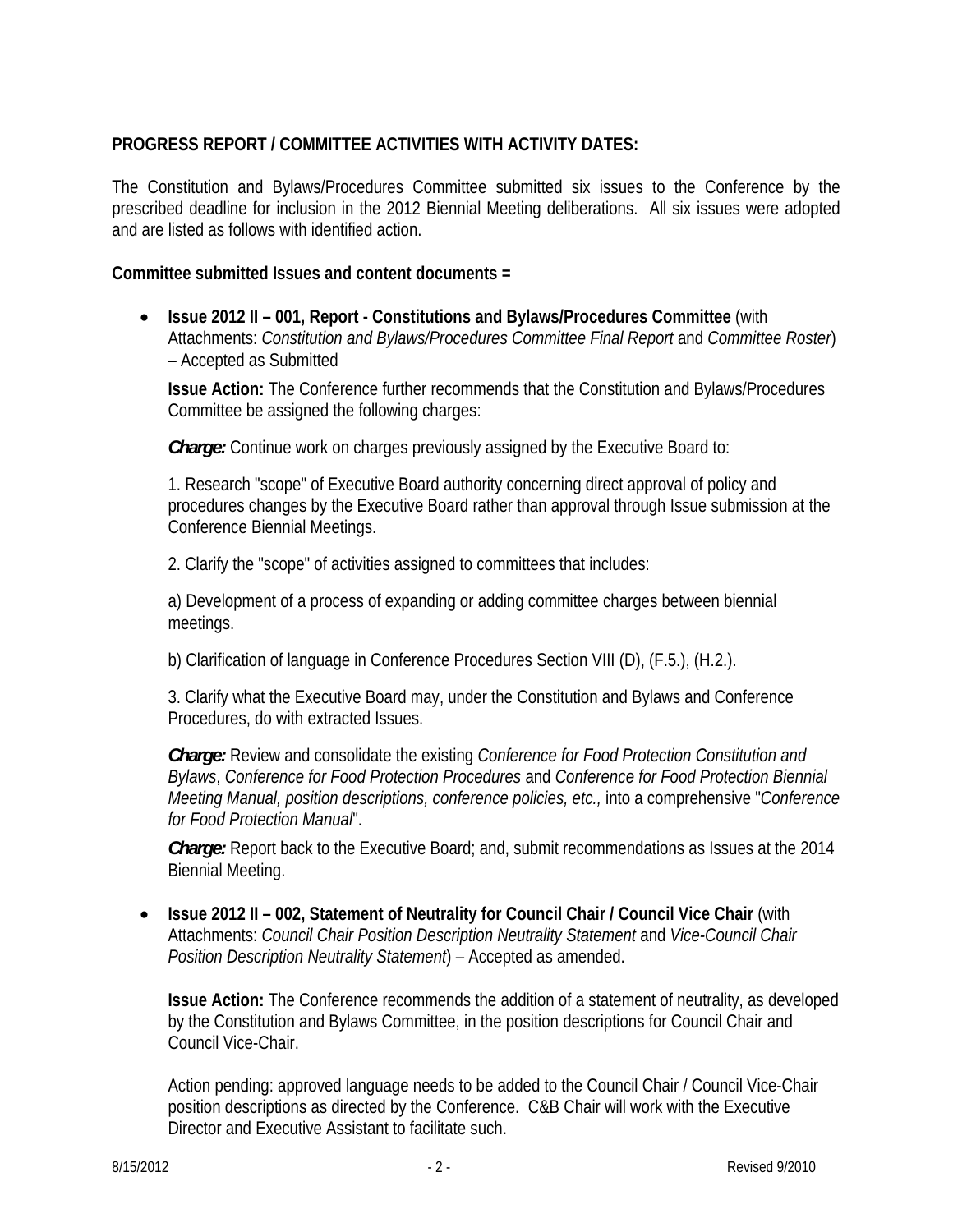# **PROGRESS REPORT / COMMITTEE ACTIVITIES WITH ACTIVITY DATES:**

The Constitution and Bylaws/Procedures Committee submitted six issues to the Conference by the prescribed deadline for inclusion in the 2012 Biennial Meeting deliberations. All six issues were adopted and are listed as follows with identified action.

## **Committee submitted Issues and content documents =**

• **Issue 2012 II – 001, Report - Constitutions and Bylaws/Procedures Committee** (with Attachments: *Constitution and Bylaws/Procedures Committee Final Report* and *Committee Roster*) – Accepted as Submitted

**Issue Action:** The Conference further recommends that the Constitution and Bylaws/Procedures Committee be assigned the following charges:

*Charge:* Continue work on charges previously assigned by the Executive Board to:

1. Research "scope" of Executive Board authority concerning direct approval of policy and procedures changes by the Executive Board rather than approval through Issue submission at the Conference Biennial Meetings.

2. Clarify the "scope" of activities assigned to committees that includes:

a) Development of a process of expanding or adding committee charges between biennial meetings.

b) Clarification of language in Conference Procedures Section VIII (D), (F.5.), (H.2.).

3. Clarify what the Executive Board may, under the Constitution and Bylaws and Conference Procedures, do with extracted Issues.

*Charge:* Review and consolidate the existing *Conference for Food Protection Constitution and Bylaws*, *Conference for Food Protection Procedures* and *Conference for Food Protection Biennial Meeting Manual, position descriptions, conference policies, etc.,* into a comprehensive "*Conference for Food Protection Manual*".

*Charge:* Report back to the Executive Board; and, submit recommendations as Issues at the 2014 Biennial Meeting.

• **Issue 2012 II – 002, Statement of Neutrality for Council Chair / Council Vice Chair** (with Attachments: *Council Chair Position Description Neutrality Statement* and *Vice-Council Chair Position Description Neutrality Statement*) – Accepted as amended.

**Issue Action:** The Conference recommends the addition of a statement of neutrality, as developed by the Constitution and Bylaws Committee, in the position descriptions for Council Chair and Council Vice-Chair.

Action pending: approved language needs to be added to the Council Chair / Council Vice-Chair position descriptions as directed by the Conference. C&B Chair will work with the Executive Director and Executive Assistant to facilitate such.